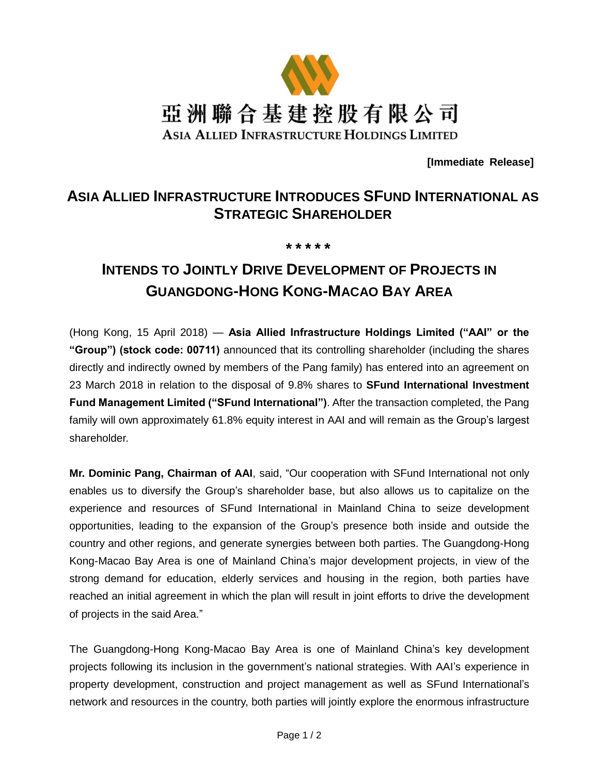

**[Immediate Release]**

## **ASIA ALLIED INFRASTRUCTURE INTRODUCES SFUND INTERNATIONAL AS STRATEGIC SHAREHOLDER**

#### **\* \* \* \* \***

# **INTENDS TO JOINTLY DRIVE DEVELOPMENT OF PROJECTS IN GUANGDONG-HONG KONG-MACAO BAY AREA**

(Hong Kong, 15 April 2018) — **Asia Allied Infrastructure Holdings Limited ("AAI" or the "Group") (stock code: 00711)** announced that its controlling shareholder (including the shares directly and indirectly owned by members of the Pang family) has entered into an agreement on 23 March 2018 in relation to the disposal of 9.8% shares to **SFund International Investment Fund Management Limited ("SFund International")**. After the transaction completed, the Pang family will own approximately 61.8% equity interest in AAI and will remain as the Group's largest shareholder.

**Mr. Dominic Pang, Chairman of AAI**, said, "Our cooperation with SFund International not only enables us to diversify the Group's shareholder base, but also allows us to capitalize on the experience and resources of SFund International in Mainland China to seize development opportunities, leading to the expansion of the Group's presence both inside and outside the country and other regions, and generate synergies between both parties. The Guangdong-Hong Kong-Macao Bay Area is one of Mainland China's major development projects, in view of the strong demand for education, elderly services and housing in the region, both parties have reached an initial agreement in which the plan will result in joint efforts to drive the development of projects in the said Area."

The Guangdong-Hong Kong-Macao Bay Area is one of Mainland China's key development projects following its inclusion in the government's national strategies. With AAI's experience in property development, construction and project management as well as SFund International's network and resources in the country, both parties will jointly explore the enormous infrastructure